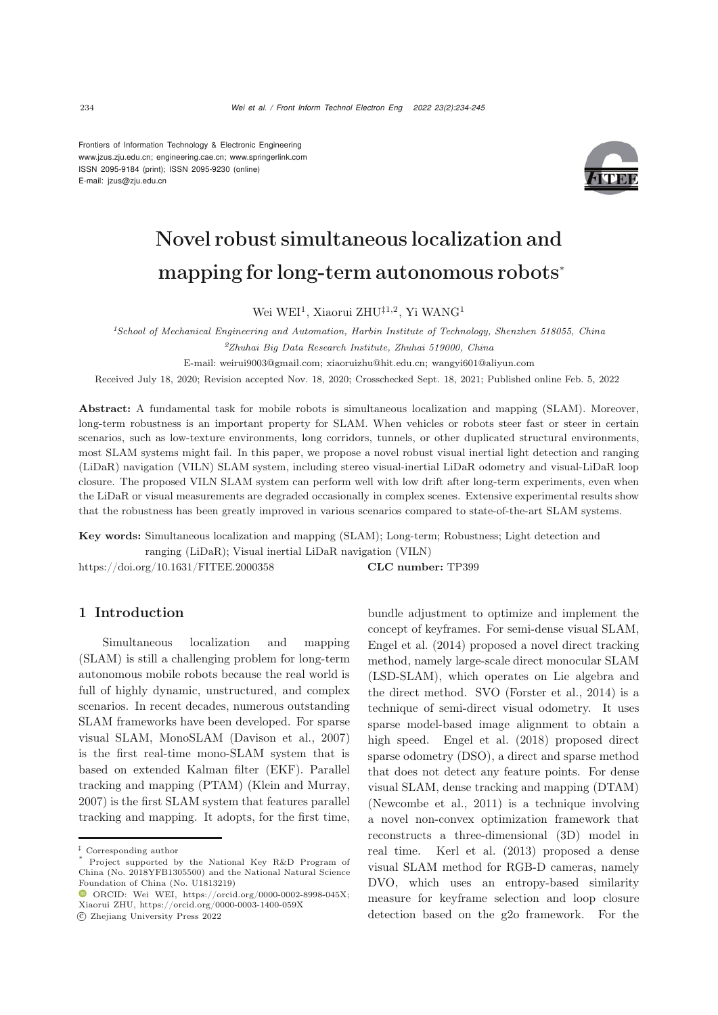Frontiers of Information Technology & Electronic Engineering [www.jzus.zju.edu.cn;](www.jzus.zju.edu.cn) [engineering.cae.cn;](engineering.cae.cn)<www.springerlink.com> ISSN 2095-9184 (print); ISSN 2095-9230 (online) E-mail: jzus@zju.edu.cn



# Novel robust simultaneous localization and mapping for long-term autonomous robots<sup>∗</sup>

Wei WEI<sup>1</sup>, Xiaorui ZHU<sup>‡1,2</sup>, Yi WANG<sup>1</sup>

*<sup>1</sup>School of Mechanical Engineering and Automation, Harbin Institute of Technology, Shenzhen 518055, China*

*<sup>2</sup>Zhuhai Big Data Research Institute, Zhuhai 519000, China*

E-mail: weirui9003@gmail.com; xiaoruizhu@hit.edu.cn; wangyi601@aliyun.com

Received July 18, 2020; Revision accepted Nov. 18, 2020; Crosschecked Sept. 18, 2021; Published online Feb. 5, 2022

Abstract: A fundamental task for mobile robots is simultaneous localization and mapping (SLAM). Moreover, long-term robustness is an important property for SLAM. When vehicles or robots steer fast or steer in certain scenarios, such as low-texture environments, long corridors, tunnels, or other duplicated structural environments, most SLAM systems might fail. In this paper, we propose a novel robust visual inertial light detection and ranging (LiDaR) navigation (VILN) SLAM system, including stereo visual-inertial LiDaR odometry and visual-LiDaR loop closure. The proposed VILN SLAM system can perform well with low drift after long-term experiments, even when the LiDaR or visual measurements are degraded occasionally in complex scenes. Extensive experimental results show that the robustness has been greatly improved in various scenarios compared to state-of-the-art SLAM systems.

Key words: Simultaneous localization and mapping (SLAM); Long-term; Robustness; Light detection and ranging (LiDaR); Visual inertial LiDaR navigation (VILN)

https://doi.org/10.1631/FITEE.2000358 **CLC number:** TP399

# 1 Introduction

Simultaneous localization and mapping (SLAM) is still a challenging problem for long-term autonomous mobile robots because the real world is full of highly dynamic, unstructured, and complex scenarios. In recent decades, numerous outstanding SLAM frameworks have been developed. For sparse visual SLAM, MonoSLAM [\(Davison et al.](#page-10-0), [2007\)](#page-10-0) is the first real-time mono-SLAM system that is based on extended Kalman filter (EKF). Parallel tracking and mapping (PTAM) [\(Klein and Murray,](#page-10-1) [2007](#page-10-1)) is the first SLAM system that features parallel tracking and mapping. It adopts, for the first time,

c Zhejiang University Press 2022

bundle adjustment to optimize and implement the concept of keyframes. For semi-dense visual SLAM, [Engel et al.](#page-10-2) [\(2014\)](#page-10-2) proposed a novel direct tracking method, namely large-scale direct monocular SLAM (LSD-SLAM), which operates on Lie algebra and the direct method. SVO [\(Forster et al.](#page-10-3), [2014\)](#page-10-3) is a technique of semi-direct visual odometry. It uses sparse model-based image alignment to obtain a high speed. [Engel et al.](#page-10-4) [\(2018](#page-10-4)) proposed direct sparse odometry (DSO), a direct and sparse method that does not detect any feature points. For dense visual SLAM, dense tracking and mapping (DTAM) [\(Newcombe et al., 2011\)](#page-11-0) is a technique involving a novel non-convex optimization framework that reconstructs a three-dimensional (3D) model in real time. [Kerl et al.](#page-10-5) [\(2013\)](#page-10-5) proposed a dense visual SLAM method for RGB-D cameras, namely DVO, which uses an entropy-based similarity measure for keyframe selection and loop closure detection based on the g2o framework. For the

<sup>‡</sup> Corresponding author

Project supported by the National Key R&D Program of China (No. 2018YFB1305500) and the National Natural Science Foundation of China (No. U1813219)

 $\bullet$  ORCID: Wei WEI, https://orcid.org/0000-0002-8998-045X; Xiaorui ZHU, https://orcid.org/0000-0003-1400-059X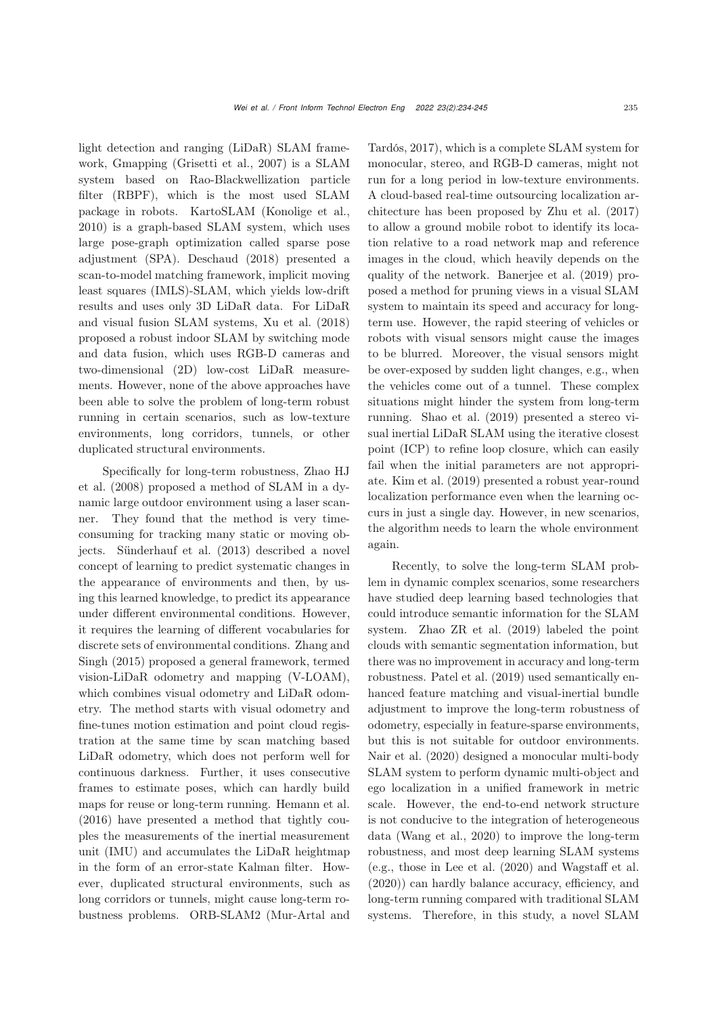light detection and ranging (LiDaR) SLAM framework, Gmapping [\(Grisetti et al.](#page-10-6), [2007](#page-10-6)) is a SLAM system based on Rao-Blackwellization particle filter (RBPF), which is the most used SLAM package in robots. KartoSLAM [\(Konolige et al.](#page-10-7), [2010](#page-10-7)) is a graph-based SLAM system, which uses large pose-graph optimization called sparse pose adjustment (SPA). [Deschaud](#page-10-8) [\(2018\)](#page-10-8) presented a scan-to-model matching framework, implicit moving least squares (IMLS)-SLAM, which yields low-drift results and uses only 3D LiDaR data. For LiDaR and visual fusion SLAM systems, [Xu et al.](#page-11-1) [\(2018](#page-11-1)) proposed a robust indoor SLAM by switching mode and data fusion, which uses RGB-D cameras and two-dimensional (2D) low-cost LiDaR measurements. However, none of the above approaches have been able to solve the problem of long-term robust running in certain scenarios, such as low-texture environments, long corridors, tunnels, or other duplicated structural environments.

[Specifically](#page-11-2) [for](#page-11-2) [long-term](#page-11-2) [robustness,](#page-11-2) Zhao HJ et al. [\(2008\)](#page-11-2) proposed a method of SLAM in a dynamic large outdoor environment using a laser scanner. They found that the method is very timeconsuming for tracking many static or moving objects. [Sünderhauf et al.](#page-11-3) [\(2013\)](#page-11-3) described a novel concept of learning to predict systematic changes in the appearance of environments and then, by using this learned knowledge, to predict its appearance under different environmental condi[tions. However,](#page-11-5) it requires the learning of different vocabularies for discr[ete](#page-11-4) [sets](#page-11-4) [of](#page-11-4) [environmental](#page-11-4) [conditions.](#page-11-4) Zhang and Singh [\(2015\)](#page-11-4) proposed a general framework, termed vision-LiDaR odometry and mapping (V-LOAM), which combines visual odometry and LiDaR odometry. The method starts with visual odometry and fine-tunes motion estimation and point cloud registration at the same time by scan matching based LiDaR odometry, which does not perform well for continuous darkness. Further, it uses consecutive frames to estimate poses, which can hardly build maps for reuse or long-term running. [Hemann et al.](#page-10-9) [\(2016](#page-10-9)) have presented a method that tightly couples the measurements of the inertial measurement unit (IMU) and accumulates the LiDaR heightmap in the form of an error-state Kalman filter. However, duplicated structural environments, such as long corridors or tunnels, might cause long-term robustness problems. ORB-SLAM2 (Mur-Artal and

Tardós, [2017](#page-11-5)), which is a complete SLAM system for monocular, stereo, and RGB-D cameras, might not run for a long period in low-texture environments. A cloud-based real-time outsourcing localization architecture has been proposed by [Zhu et al.](#page-11-6) [\(2017](#page-11-6)) to allow a ground mobile robot to identify its location relative to a road network map and reference images in the cloud, which heavily depends on the quality of the network. [Banerjee et al.](#page-10-10) [\(2019\)](#page-10-10) proposed a method for pruning views in a visual SLAM system to maintain its speed and accuracy for longterm use. However, the rapid steering of vehicles or robots with visual sensors might cause the images to be blurred. Moreover, the visual sensors might be over-exposed by sudden light changes, e.g., when the vehicles come out of a tunnel. These complex situations might hinder the system from long-term running. [Shao et al.](#page-11-7) [\(2019](#page-11-7)) presented a stereo visual inertial LiDaR SLAM using the iterative closest point (ICP) to refine loop closure, which can easily fail when the initial parameters are not appropriate. [Kim et al.](#page-10-11) [\(2019\)](#page-10-11) presented a robust year-round localization performance even when the learning occurs in just a single day. However, in new scenarios, the algorithm needs to learn the whole environment again.

Recently, to solve the long-term SLAM problem in dynamic complex scenarios, some researchers have studied deep learning based technologies that could introduce semantic information for the SLAM system. [Zhao ZR et al.](#page-11-8) [\(2019\)](#page-11-8) labeled the point clouds with semantic segmentation information, but there was no improvement in accuracy and long-term robustness. [Patel et al.](#page-11-9) [\(2019](#page-11-9)) used semantically enhanced feature matching and visual-inertial bundle adjustment to improve the long-term robustness of odometry, especially in feature-sparse environments, but this is not suitable for outdoor environments. [Nair et al.](#page-11-10) [\(2020](#page-11-10)) designed a monocular multi-body SLAM system to perform dynamic multi-object and ego localization in a unified framework in metric scale. However, the end-to-end network structure is not conducive to the integration of heterogeneous data [\(Wang et al.](#page-11-11), [2020\)](#page-11-11) to improve the long-term robustness, and most deep learning SLAM systems (e.g., those in [Lee et al.](#page-11-12) [\(2020](#page-11-12)) and [Wagstaff et al.](#page-11-13) [\(2020](#page-11-13))) can hardly balance accuracy, efficiency, and long-term running compared with traditional SLAM systems. Therefore, in this study, a novel SLAM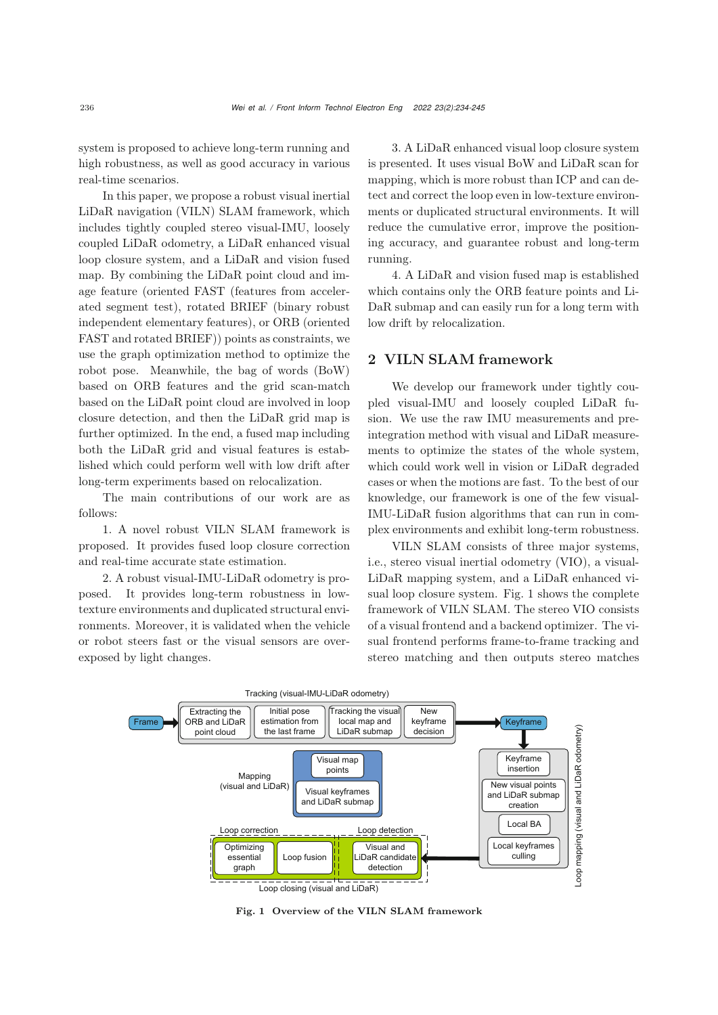system is proposed to achieve long-term running and high robustness, as well as good accuracy in various real-time scenarios.

In this paper, we propose a robust visual inertial LiDaR navigation (VILN) SLAM framework, which includes tightly coupled stereo visual-IMU, loosely coupled LiDaR odometry, a LiDaR enhanced visual loop closure system, and a LiDaR and vision fused map. By combining the LiDaR point cloud and image feature (oriented FAST (features from accelerated segment test), rotated BRIEF (binary robust independent elementary features), or ORB (oriented FAST and rotated BRIEF)) points as constraints, we use the graph optimization method to optimize the robot pose. Meanwhile, the bag of words (BoW) based on ORB features and the grid scan-match based on the LiDaR point cloud are involved in loop closure detection, and then the LiDaR grid map is further optimized. In the end, a fused map including both the LiDaR grid and visual features is established which could perform well with low drift after long-term experiments based on relocalization.

The main contributions of our work are as follows:

1. A novel robust VILN SLAM framework is proposed. It provides fused loop closure correction and real-time accurate state estimation.

2. A robust visual-IMU-LiDaR odometry is proposed. It provides long-term robustness in lowtexture environments and duplicated structural environments. Moreover, it is validated when the vehicle or robot steers fast or the visual sensors are overexposed by light changes.

3. A LiDaR enhanced visual loop closure system is presented. It uses visual BoW and LiDaR scan for mapping, which is more robust than ICP and can detect and correct the loop even in low-texture environments or duplicated structural environments. It will reduce the cumulative error, improve the positioning accuracy, and guarantee robust and long-term running.

4. A LiDaR and vision fused map is established which contains only the ORB feature points and Li-DaR submap and can easily run for a long term with low drift by relocalization.

## 2 VILN SLAM framework

We develop our framework under tightly coupled visual-IMU and loosely coupled LiDaR fusion. We use the raw IMU measurements and preintegration method with visual and LiDaR measurements to optimize the states of the whole system, which could work well in vision or LiDaR degraded cases or when the motions are fast. To the best of our knowledge, our framework is one of the few visual-IMU-LiDaR fusion algorithms that can run in complex environments and exhibit long-term robustness.

VILN SLAM consists of three major systems, i.e., stereo visual inertial odometry (VIO), a visual-LiDaR mapping system, and a LiDaR enhanced visual loop closure system. Fig. [1](#page-2-0) shows the complete framework of VILN SLAM. The stereo VIO consists of a visual frontend and a backend optimizer. The visual frontend performs frame-to-frame tracking and stereo matching and then outputs stereo matches



<span id="page-2-0"></span>Fig. 1 Overview of the VILN SLAM framework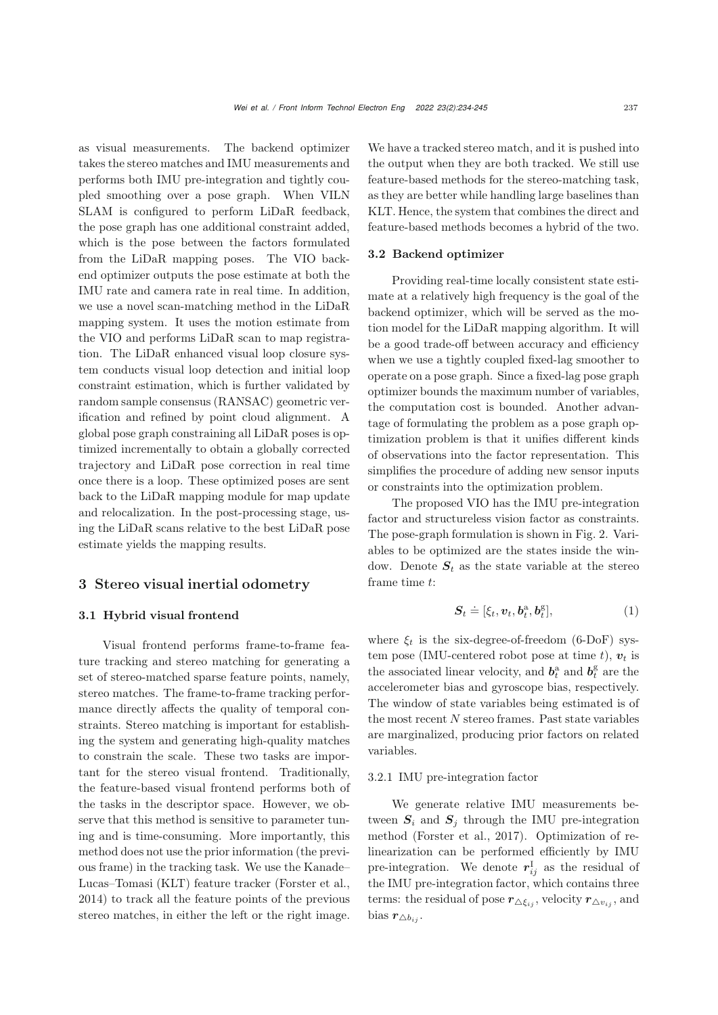as visual measurements. The backend optimizer takes the stereo matches and IMU measurements and performs both IMU pre-integration and tightly coupled smoothing over a pose graph. When VILN SLAM is configured to perform LiDaR feedback, the pose graph has one additional constraint added, which is the pose between the factors formulated from the LiDaR mapping poses. The VIO backend optimizer outputs the pose estimate at both the IMU rate and camera rate in real time. In addition, we use a novel scan-matching method in the LiDaR mapping system. It uses the motion estimate from the VIO and performs LiDaR scan to map registration. The LiDaR enhanced visual loop closure system conducts visual loop detection and initial loop constraint estimation, which is further validated by random sample consensus (RANSAC) geometric verification and refined by point cloud alignment. A global pose graph constraining all LiDaR poses is optimized incrementally to obtain a globally corrected trajectory and LiDaR pose correction in real time once there is a loop. These optimized poses are sent back to the LiDaR mapping module for map update and relocalization. In the post-processing stage, using the LiDaR scans relative to the best LiDaR pose estimate yields the mapping results.

## <span id="page-3-1"></span><span id="page-3-0"></span>3 Stereo visual inertial odometry

#### 3.1 Hybrid visual frontend

Visual frontend performs frame-to-frame feature tracking and stereo matching for generating a set of stereo-matched sparse feature points, namely, stereo matches. The frame-to-frame tracking performance directly affects the quality of temporal constraints. Stereo matching is important for establishing the system and generating high-quality matches to constrain the scale. These two tasks are important for the stereo visual frontend. Traditionally, the feature-based visual frontend performs both of the tasks in the descriptor space. However, we observe that this method is sensitive to parameter tuning and is time-consuming. More importantly, this method does not use the prior information (the previous frame) in the tracking task. We use the Kanade– Lucas–Tomasi (KLT) feature tracker [\(Forster et al.](#page-10-3), [2014](#page-10-3)) to track all the feature points of the previous stereo matches, in either the left or the right image.

We have a tracked stereo match, and it is pushed into the output when they are both tracked. We still use feature-based methods for the stereo-matching task, as they are better while handling large baselines than KLT. Hence, the system that combines the direct and feature-based methods becomes a hybrid of the two.

#### 3.2 Backend optimizer

Providing real-time locally consistent state estimate at a relatively high frequency is the goal of the backend optimizer, which will be served as the motion model for the LiDaR mapping algorithm. It will be a good trade-off between accuracy and efficiency when we use a tightly coupled fixed-lag smoother to operate on a pose graph. Since a fixed-lag pose graph optimizer bounds the maximum number of variables, the computation cost is bounded. Another advantage of formulating the problem as a pose graph optimization problem is that it unifies different kinds of observations into the factor representation. This simplifies the procedure of adding new sensor inputs or constraints into the optimization problem.

The proposed VIO has the IMU pre-integration factor and structureless vision factor as constraints. The pose-graph formulation is shown in Fig. [2.](#page-4-0) Variables to be optimized are the states inside the window. Denote  $S_t$  as the state variable at the stereo frame time t:

$$
\mathbf{S}_t \doteq [\xi_t, \boldsymbol{v}_t, \boldsymbol{b}_t^{\mathrm{a}}, \boldsymbol{b}_t^{\mathrm{g}}], \tag{1}
$$

where  $\xi_t$  is the six-degree-of-freedom (6-DoF) system pose (IMU-centered robot pose at time  $t$ ),  $v_t$  is the associated linear velocity, and  $b_t^a$  and  $b_t^g$  are the accelerometer bias and gyroscope bias, respectively. The window of state variables being estimated is of the most recent  $N$  stereo frames. Past state variables are marginalized, producing prior factors on related variables.

#### 3.2.1 IMU pre-integration factor

We generate relative IMU measurements between  $S_i$  and  $S_j$  through the IMU pre-integration method [\(Forster et al., 2017\)](#page-10-12). Optimization of relinearization can be performed efficiently by IMU pre-integration. We denote  $r_{ij}^{\perp}$  as the residual of the IMU pre-integration factor, which contains three terms: the residual of pose  $r_{\triangle \xi_{ij}}$ , velocity  $r_{\triangle v_{ij}}$ , and bias  $r_{\triangle b_{ij}}$ .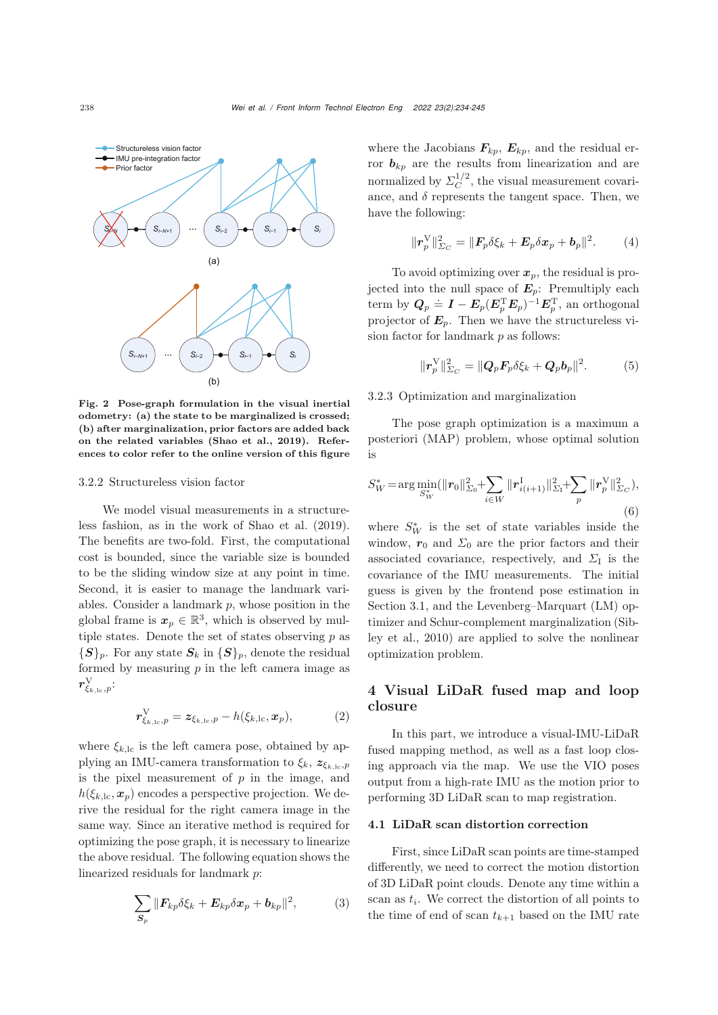

<span id="page-4-0"></span>Fig. 2 Pose-graph formulation in the visual inertial odometry: (a) the state to be marginalized is crossed; (b) after marginalization, prior factors are added back on the related variables [\(Shao et al., 2019\)](#page-11-7). References to color refer to the online version of this figure

#### 3.2.2 Structureless vision factor

We model visual measurements in a structureless fashion, as in the work of [Shao et al.](#page-11-7) [\(2019\)](#page-11-7). The benefits are two-fold. First, the computational cost is bounded, since the variable size is bounded to be the sliding window size at any point in time. Second, it is easier to manage the landmark variables. Consider a landmark  $p$ , whose position in the global frame is  $x_p \in \mathbb{R}^3$ , which is observed by multiple states. Denote the set of states observing  $p$  as  ${S}_p$ . For any state  $S_k$  in  ${S}_p$ , denote the residual formed by measuring  $p$  in the left camera image as  $r_{\xi_{k,\mathrm{lc}},p}^\mathrm{V}$ :

$$
\boldsymbol{r}_{\xi_{k,\mathrm{lc}},p}^{\mathrm{V}} = \boldsymbol{z}_{\xi_{k,\mathrm{lc}},p} - h(\xi_{k,\mathrm{lc}},\boldsymbol{x}_p),\tag{2}
$$

where  $\xi_{k,\text{lc}}$  is the left camera pose, obtained by applying an IMU-camera transformation to  $\xi_k$ ,  $z_{\xi_{k,\text{lc}},p}$ is the pixel measurement of  $p$  in the image, and  $h(\xi_{k,\text{lc}}, \mathbf{x}_p)$  encodes a perspective projection. We derive the residual for the right camera image in the same way. Since an iterative method is required for optimizing the pose graph, it is necessary to linearize the above residual. The following equation shows the linearized residuals for landmark p:

$$
\sum_{\mathcal{S}_p} ||\mathbf{F}_{kp} \delta \xi_k + \mathbf{E}_{kp} \delta \mathbf{x}_p + \mathbf{b}_{kp}||^2, \tag{3}
$$

where the Jacobians  $\mathbf{F}_{kp}$ ,  $\mathbf{E}_{kp}$ , and the residual error  $\mathbf{b}_{kp}$  are the results from linearization and are normalized by  $\Sigma_C^{1/2}$ , the visual measurement covariance, and  $\delta$  represents the tangent space. Then, we have the following:

$$
\|\boldsymbol{r}_p^{\mathrm{V}}\|_{\Sigma_C}^2 = \|\boldsymbol{F}_p \delta \xi_k + \boldsymbol{E}_p \delta \boldsymbol{x}_p + \boldsymbol{b}_p\|^2. \qquad (4)
$$

To avoid optimizing over  $x_p$ , the residual is projected into the null space of  $E_p$ : Premultiply each term by  $\mathbf{Q}_p \doteq$  $\dot{=} I - E_p (E_p^{\mathrm{T}} E_p)^{-1} E_p^{\mathrm{T}}$ , an orthogonal<br>**F** Then we have the structureless vi projector of  $E_p$ . Then we have the structureless vision factor for landmark  $p$  as follows:

$$
\|\boldsymbol{r}_p^{\mathrm{V}}\|_{\boldsymbol{\Sigma}_C}^2 = \|\boldsymbol{Q}_p \boldsymbol{F}_p \delta \xi_k + \boldsymbol{Q}_p \boldsymbol{b}_p\|^2. \tag{5}
$$

## 3.2.3 Optimization and marginalization

The pose graph optimization is a maximum a posteriori (MAP) problem, whose optimal solution is

$$
S_W^* = \arg\min_{S_W^*} (\|r_0\|_{\Sigma_0}^2 + \sum_{i \in W} \|r_{i(i+1)}^{\mathrm{I}}\|_{\Sigma_1}^2 + \sum_p \|r_p^{\mathrm{V}}\|_{\Sigma_C}^2),
$$
\n(6)

where  $S_W^*$  is the set of state variables inside the window,  $r_0$  and  $\Sigma_0$  are the prior factors and their associated covariance, respectively, and  $\Sigma_I$  is the covariance of the IMU measurements. The initial guess is given by the frontend pose estimation in Section [3.1,](#page-3-0) and the Levenberg–Marquart (LM) optimizer a[nd](#page-11-14) [Schur-complement](#page-11-14) [marginalization](#page-11-14) [\(](#page-11-14)Sibley et al., [2010](#page-11-14)) are applied to solve the nonlinear optimization problem.

# 4 Visual LiDaR fused map and loop closure

In this part, we introduce a visual-IMU-LiDaR fused mapping method, as well as a fast loop closing approach via the map. We use the VIO poses output from a high-rate IMU as the motion prior to performing 3D LiDaR scan to map registration.

#### 4.1 LiDaR scan distortion correction

First, since LiDaR scan points are time-stamped differently, we need to correct the motion distortion of 3D LiDaR point clouds. Denote any time within a scan as  $t_i$ . We correct the distortion of all points to the time of end of scan  $t_{k+1}$  based on the IMU rate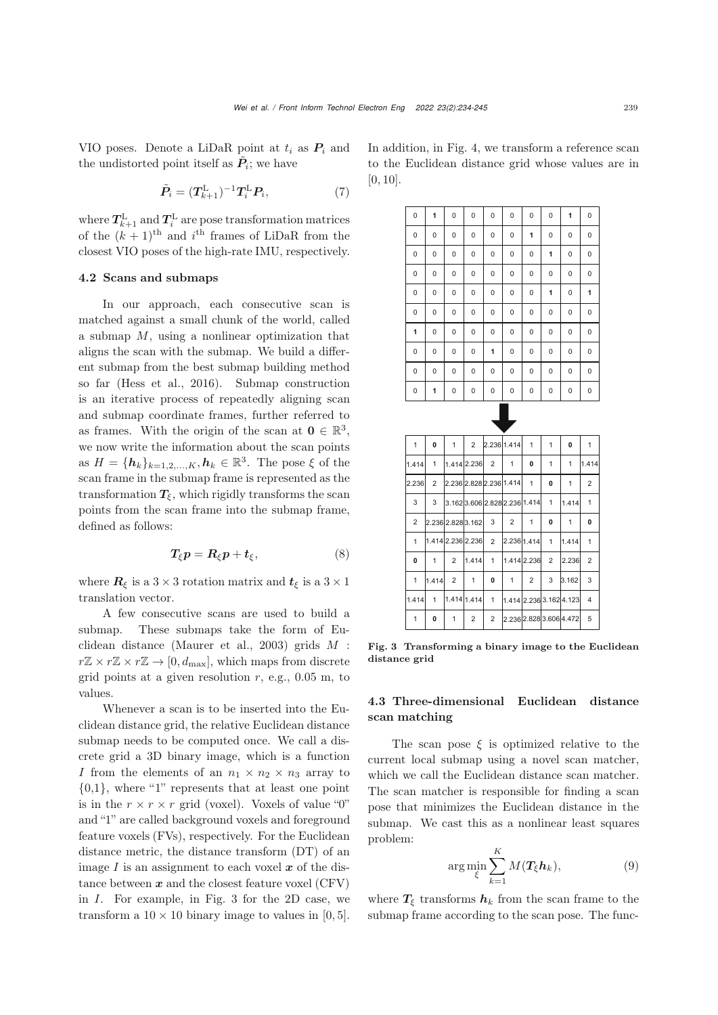VIO poses. Denote a LiDaR point at  $t_i$  as  $P_i$  and the undistorted point itself as  $\ddot{P}_i$ ; we have

$$
\tilde{\boldsymbol{P}}_i = (\boldsymbol{T}_{k+1}^{\mathrm{L}})^{-1} \boldsymbol{T}_i^{\mathrm{L}} \boldsymbol{P}_i, \tag{7}
$$

where  $T_{k+1}^{\text{L}}$  and  $T_i^{\text{L}}$  are pose transformation matrices<br>of the  $(h+1)$ <sup>th</sup> and *i*<sup>th</sup> frames of LiDeP from the of the  $(k + 1)$ <sup>th</sup> and  $i$ <sup>th</sup> frames of LiDaR from the closest VIO poses of the high-rate IMU, respectively.

#### 4.2 Scans and submaps

In our approach, each consecutive scan is matched against a small chunk of the world, called a submap  $M$ , using a nonlinear optimization that aligns the scan with the submap. We build a different submap from the best submap building method so far [\(Hess et al., 2016\)](#page-10-13). Submap construction is an iterative process of repeatedly aligning scan and submap coordinate frames, further referred to as frames. With the origin of the scan at  $\mathbf{0} \in \mathbb{R}^3$ , we now write the information about the scan points as  $H = \{h_k\}_{k=1,2,...,K}$ ,  $h_k \in \mathbb{R}^3$ . The pose  $\xi$  of the scan frame in the submap frame is represented as the transformation  $T_{\xi}$ , which rigidly transforms the scan points from the scan frame into the submap frame, defined as follows:

$$
T_{\xi}p = R_{\xi}p + t_{\xi}, \qquad (8)
$$

where  $\mathbf{R}_{\xi}$  is a 3 × 3 rotation matrix and  $t_{\xi}$  is a 3 × 1 translation vector.

A few consecutive scans are used to build a submap. These submaps take the form of Euclidean distance [\(Maurer et al.](#page-11-15), [2003](#page-11-15)) grids <sup>M</sup> :  $r\mathbb{Z} \times r\mathbb{Z} \times r\mathbb{Z} \to [0, d_{\text{max}}],$  which maps from discrete grid points at a given resolution  $r$ , e.g., 0.05 m, to values.

Whenever a scan is to be inserted into the Euclidean distance grid, the relative Euclidean distance submap needs to be computed once. We call a discrete grid a 3D binary image, which is a function I from the elements of an  $n_1 \times n_2 \times n_3$  array to {0,1}, where "1" represents that at least one point is in the  $r \times r \times r$  grid (voxel). Voxels of value "0" and "1" are called background voxels and foreground feature voxels (FVs), respectively. For the Euclidean distance metric, the distance transform (DT) of an image  $I$  is an assignment to each voxel  $x$  of the distance between  $x$  and the closest feature voxel  $(CFV)$ in I. For example, in Fig. [3](#page-5-0) for the 2D case, we transform a  $10 \times 10$  binary image to values in [0, 5].

In addition, in Fig. [4,](#page-6-0) we transform a reference scan to the Euclidean distance grid whose values are in [0, 10].

| 0              | 1     | 0                 | 0              | 0                         | 0              | 0                       | 0              | 1                       | 0              |
|----------------|-------|-------------------|----------------|---------------------------|----------------|-------------------------|----------------|-------------------------|----------------|
| 0              | 0     | 0                 | 0              | 0                         | 0              | 1                       | 0              | 0                       | 0              |
| 0              | 0     | 0                 | 0              | 0                         | 0              | 0                       | 1              | 0                       | 0              |
| 0              | 0     | 0                 | 0              | 0                         | 0              | 0                       | 0              | 0                       | 0              |
| 0              | 0     | 0                 | 0              | 0                         | 0              | 0                       | 1              | 0                       | 1              |
| 0              | 0     | 0                 | 0              | 0                         | 0              | 0                       | 0              | 0                       | 0              |
| 1              | 0     | 0                 | 0              | 0                         | 0              | 0                       | 0              | 0                       | 0              |
| 0              | 0     | 0                 | 0              | 1                         | 0              | 0                       | 0              | 0                       | 0              |
| 0              | 0     | 0                 | 0              | 0                         | 0              | 0                       | 0              | 0                       | 0              |
| 0              | 1     | 0                 | 0              | 0                         | 0              | 0                       | 0              | 0                       | 0              |
|                |       |                   |                |                           |                |                         |                |                         |                |
| 1              | 0     | 1                 | $\overline{2}$ | 2.236 1.414               |                | 1                       | 1              | 0                       | 1              |
| 1.414          | 1     |                   | 1.414 2.236    | $\overline{2}$            | $\mathbf{1}$   | 0                       | 1              | 1                       | 1.414          |
| 2.236          | 2     |                   |                | 2.236 2.828 2.236 1.414   |                | 1                       | 0              | 1                       | 2              |
| 3              | 3     |                   |                | 3.1623.6062.8282.2361.414 |                |                         | 1              | 1.414                   | 1              |
| $\overline{2}$ |       | 2.236 2.828 3.162 |                | 3                         | $\overline{2}$ | 1                       | 0              | 1                       | 0              |
| 1              |       | 1.414 2.236 2.236 |                | $\overline{2}$            | 2.236 1.414    |                         | 1              | 1.414                   | 1              |
| 0              | 1     | $\overline{2}$    | 1.414          | 1                         |                | 1.414 2.236             | $\overline{2}$ | 2.236                   | $\overline{2}$ |
| 1              | 1.414 | $\overline{2}$    | 1              | 0                         | $\mathbf{1}$   | $\overline{2}$          | 3              | 3.162                   | 3              |
| 1.414          | 1     |                   | 1.414 1.414    | 1                         |                |                         |                | 1.414 2.236 3.162 4.123 | 4              |
| 1              | 0     | $\mathbf{1}$      | $\overline{2}$ | $\overline{2}$            |                | 2.236 2.828 3.606 4.472 |                |                         | 5              |

<span id="page-5-0"></span>Fig. 3 Transforming a binary image to the Euclidean distance grid

# 4.3 Three-dimensional Euclidean distance scan matching

The scan pose  $\xi$  is optimized relative to the current local submap using a novel scan matcher, which we call the Euclidean distance scan matcher. The scan matcher is responsible for finding a scan pose that minimizes the Euclidean distance in the submap. We cast this as a nonlinear least squares problem:

$$
\arg\min_{\xi} \sum_{k=1}^{K} M(T_{\xi}h_k),\tag{9}
$$

where  $T_{\xi}$  transforms  $h_k$  from the scan frame to the submap frame according to the scan pose. The func-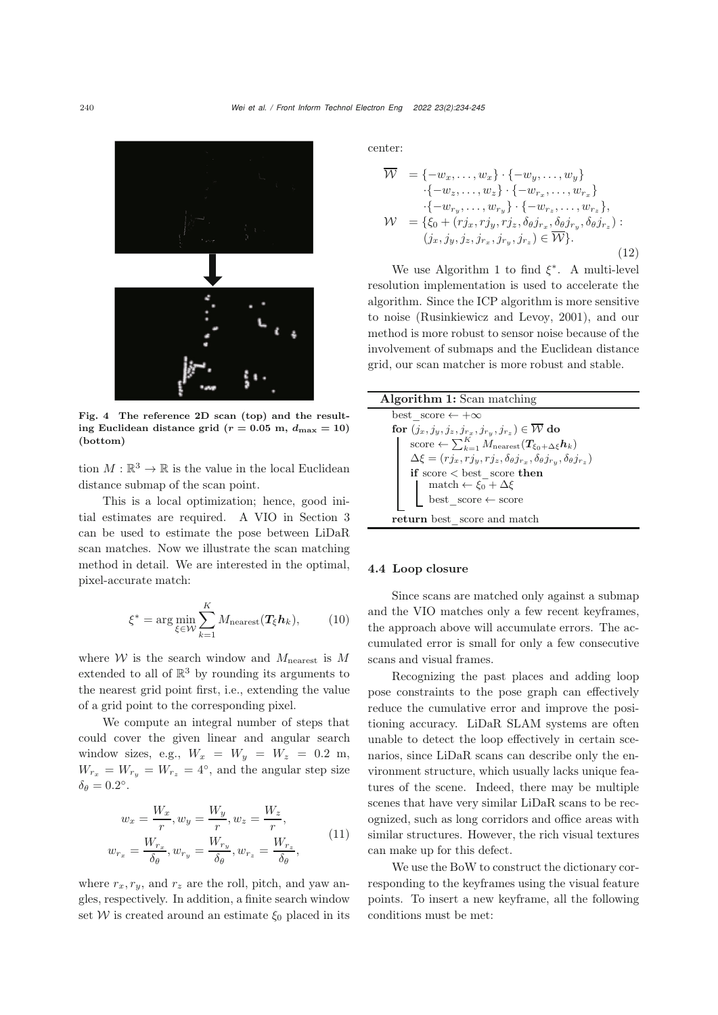

<span id="page-6-0"></span>Fig. 4 The reference 2D scan (top) and the resulting Euclidean distance grid ( $r = 0.05$  m,  $d_{\text{max}} = 10$ ) (bottom)

tion  $M : \mathbb{R}^3 \to \mathbb{R}$  is the value in the local Euclidean distance submap of the scan point.

This is a local optimization; hence, good initial estimates are required. A VIO in Section [3](#page-3-1) can be used to estimate the pose between LiDaR scan matches. Now we illustrate the scan matching method in detail. We are interested in the optimal, pixel-accurate match:

$$
\xi^* = \arg\min_{\xi \in \mathcal{W}} \sum_{k=1}^K M_{\text{nearest}}(\mathbf{T}_{\xi}\mathbf{h}_k),\tag{10}
$$

where  $W$  is the search window and  $M_{\text{nearest}}$  is M extended to all of  $\mathbb{R}^3$  by rounding its arguments to the nearest grid point first, i.e., extending the value of a grid point to the corresponding pixel.

We compute an integral number of steps that could cover the given linear and angular search window sizes, e.g.,  $W_x = W_y = W_z = 0.2$  m,  $W_{r_x} = W_{r_y} = W_{r_z} = 4^{\circ}$ , and the angular step size  $\delta_{\theta} = 0.2^{\circ}$ .

<span id="page-6-2"></span>
$$
w_x = \frac{W_x}{r}, w_y = \frac{W_y}{r}, w_z = \frac{W_z}{r},
$$
  

$$
w_{r_x} = \frac{W_{r_x}}{\delta_\theta}, w_{r_y} = \frac{W_{r_y}}{\delta_\theta}, w_{r_z} = \frac{W_{r_z}}{\delta_\theta},
$$
 (11)

where  $r_x, r_y$ , and  $r_z$  are the roll, pitch, and yaw angles, respectively. In addition, a finite search window set W is created around an estimate  $\xi_0$  placed in its center:

$$
\overline{\mathcal{W}} = \{-w_x, \dots, w_x\} \cdot \{-w_y, \dots, w_y\} \n\cdot \{-w_z, \dots, w_z\} \cdot \{-w_{r_x}, \dots, w_{r_x}\} \n\cdot \{-w_{r_y}, \dots, w_{r_y}\} \cdot \{-w_{r_z}, \dots, w_{r_z}\}, \n\mathcal{W} = \{\xi_0 + (rj_x, rj_y, rj_z, \delta_\theta j_{r_x}, \delta_\theta j_{r_y}, \delta_\theta j_{r_z}) : \n(j_x, j_y, j_z, j_{r_x}, j_{r_y}, j_{r_z}) \in \overline{\mathcal{W}}\}.
$$
\n(12)

We use Algorithm [1](#page-6-1) to find  $\xi^*$ . A multi-level resolution implementation is used to accelerate the algorithm. Since the ICP algorithm is more sensitive to noise [\(Rusinkiewicz and Levoy](#page-11-16), [2001\)](#page-11-16), and our method is more robust to sensor noise because of the involvement of submaps and the Euclidean distance grid, our scan matcher is more robust and stable.

<span id="page-6-1"></span>

| <b>Algorithm 1:</b> Scan matching                                                                               |  |  |  |  |
|-----------------------------------------------------------------------------------------------------------------|--|--|--|--|
| best score $\leftarrow +\infty$                                                                                 |  |  |  |  |
| for $(j_x, j_y, j_z, j_{r_x}, j_{r_y}, j_{r_z}) \in \overline{\mathcal{W}}$ do                                  |  |  |  |  |
| score $\leftarrow \sum_{k=1}^K M_{\text{nearest}}(T_{\xi_0+\Delta\xi}\mathbf{h}_k)$                             |  |  |  |  |
| $\Delta \xi = (r j_x, r j_y, r j_z, \delta_{\theta} j_{r_x}, \delta_{\theta} j_{r_y}, \delta_{\theta} j_{r_z})$ |  |  |  |  |
| if score $\zeta$ best score then                                                                                |  |  |  |  |
| match $\leftarrow \xi_0 + \Delta \xi$<br>best_score $\leftarrow$ score                                          |  |  |  |  |
|                                                                                                                 |  |  |  |  |
| return best score and match                                                                                     |  |  |  |  |

### 4.4 Loop closure

Since scans are matched only against a submap and the VIO matches only a few recent keyframes, the approach above will accumulate errors. The accumulated error is small for only a few consecutive scans and visual frames.

Recognizing the past places and adding loop pose constraints to the pose graph can effectively reduce the cumulative error and improve the positioning accuracy. LiDaR SLAM systems are often unable to detect the loop effectively in certain scenarios, since LiDaR scans can describe only the environment structure, which usually lacks unique features of the scene. Indeed, there may be multiple scenes that have very similar LiDaR scans to be recognized, such as long corridors and office areas with similar structures. However, the rich visual textures can make up for this defect.

We use the BoW to construct the dictionary corresponding to the keyframes using the visual feature points. To insert a new keyframe, all the following conditions must be met: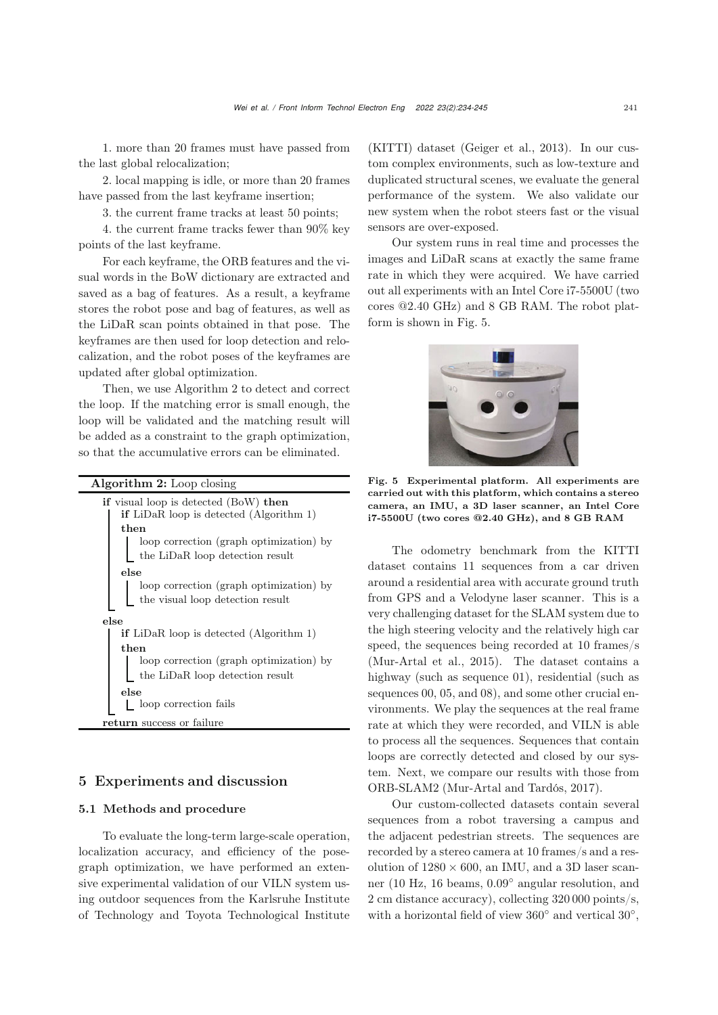1. more than 20 frames must have passed from the last global relocalization;

2. local mapping is idle, or more than 20 frames have passed from the last keyframe insertion;

3. the current frame tracks at least 50 points;

4. the current frame tracks fewer than 90% key points of the last keyframe.

For each keyframe, the ORB features and the visual words in the BoW dictionary are extracted and saved as a bag of features. As a result, a keyframe stores the robot pose and bag of features, as well as the LiDaR scan points obtained in that pose. The keyframes are then used for loop detection and relocalization, and the robot poses of the keyframes are updated after global optimization.

Then, we use Algorithm [2](#page-7-0) to detect and correct the loop. If the matching error is small enough, the loop will be validated and the matching result will be added as a constraint to the graph optimization, so that the accumulative errors can be eliminated.

<span id="page-7-0"></span>

# 5 Experiments and discussion

## 5.1 Methods and procedure

To evaluate the long-term large-scale operation, localization accuracy, and efficiency of the posegraph optimization, we have performed an extensive experimental validation of our VILN system using outdoor sequences from the Karlsruhe Institute of Technology and Toyota Technological Institute (KITTI) dataset [\(Geiger et al., 2013\)](#page-10-14). In our custom complex environments, such as low-texture and duplicated structural scenes, we evaluate the general performance of the system. We also validate our new system when the robot steers fast or the visual sensors are over-exposed.

Our system runs in real time and processes the images and LiDaR scans at exactly the same frame rate in which they were acquired. We have carried out all experiments with an Intel Core i7-5500U (two cores @2.40 GHz) and 8 GB RAM. The robot platform is shown in Fig. [5.](#page-7-1)



Fig. 5 Experimental platform. All experiments are carried out with this platform, which contains a stereo camera, an IMU, a 3D laser scanner, an Intel Core i7-5500U (two cores @2.40 GHz), and 8 GB RAM

<span id="page-7-1"></span>The odometry benchmark from the KITTI dataset contains 11 sequences from a car driven around a residential area with accurate ground truth from GPS and a Velodyne laser scanner. This is a very challenging dataset for the SLAM system due to the high steering velocity and the relatively high car speed, the sequences being recorded at 10 frames/s [\(Mur-Artal et al.](#page-11-17), [2015](#page-11-17)). The dataset contains a highway (such as sequence 01), residential (such as sequences 00, 05, and 08), and some other crucial environments. We play the sequences at the real frame rate at which they were recorded, and VILN is able to process all the sequences. Sequences that contain loops are correctly detected and closed by our system. Next, we compare our results with those from ORB-SLAM2 [\(Mur-Artal and Tardós, 2017](#page-11-5)).

Our custom-collected datasets contain several sequences from a robot traversing a campus and the adjacent pedestrian streets. The sequences are recorded by a stereo camera at 10 frames/s and a resolution of  $1280 \times 600$ , an IMU, and a 3D laser scanner (10 Hz, 16 beams, <sup>0</sup>.09◦ angular resolution, and 2 cm distance accuracy), collecting 320 000 points/s, with a horizontal field of view 360◦ and vertical <sup>30</sup>◦,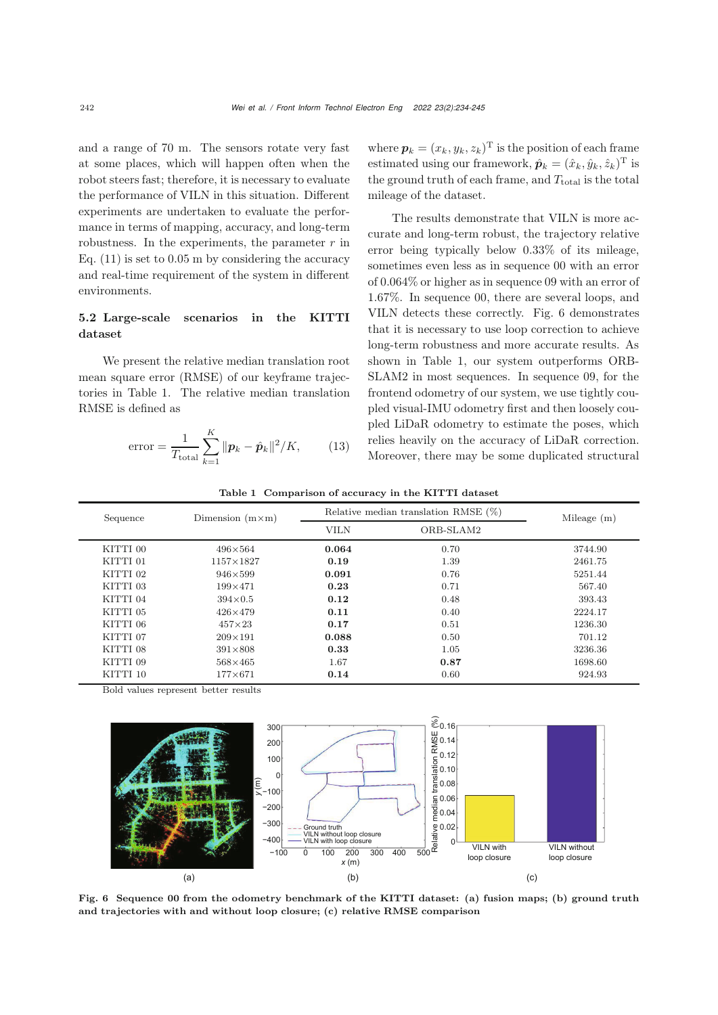and a range of 70 m. The sensors rotate very fast at some places, which will happen often when the robot steers fast; therefore, it is necessary to evaluate the performance of VILN in this situation. Different experiments are undertaken to evaluate the performance in terms of mapping, accuracy, and long-term robustness. In the experiments, the parameter  $r$  in Eq.  $(11)$  is set to 0.05 m by considering the accuracy and real-time requirement of the system in different environments.

# 5.2 Large-scale scenarios in the KITTI dataset

We present the relative median translation root mean square error (RMSE) of our keyframe trajectories in Table [1.](#page-8-0) The relative median translation RMSE is defined as

error = 
$$
\frac{1}{T_{\text{total}}} \sum_{k=1}^{K} ||\mathbf{p}_k - \hat{\mathbf{p}}_k||^2 / K,
$$
 (13)

where  $p_k = (x_k, y_k, z_k)^T$  is the position of each frame estimated using our framework,  $\hat{\boldsymbol{p}}_k = (\hat{x}_k, \hat{y}_k, \hat{z}_k)^T$  is the ground truth of each frame, and  $T_{total}$  is the total mileage of the dataset.

The results demonstrate that VILN is more accurate and long-term robust, the trajectory relative error being typically below 0.33% of its mileage, sometimes even less as in sequence 00 with an error of 0.064% or higher as in sequence 09 with an error of 1.67%. In sequence 00, there are several loops, and VILN detects these correctly. Fig. [6](#page-8-1) demonstrates that it is necessary to use loop correction to achieve long-term robustness and more accurate results. As shown in Table [1,](#page-8-0) our system outperforms ORB-SLAM2 in most sequences. In sequence 09, for the frontend odometry of our system, we use tightly coupled visual-IMU odometry first and then loosely coupled LiDaR odometry to estimate the poses, which relies heavily on the accuracy of LiDaR correction. Moreover, there may be some duplicated structural

<span id="page-8-0"></span>

|  |  | Table 1 Comparison of accuracy in the KITTI dataset |  |  |  |  |
|--|--|-----------------------------------------------------|--|--|--|--|
|--|--|-----------------------------------------------------|--|--|--|--|

| Sequence | Dimension $(m \times m)$ | Relative median translation RMSE $(\%)$ | Mileage $(m)$ |         |
|----------|--------------------------|-----------------------------------------|---------------|---------|
|          |                          | <b>VILN</b><br>ORB-SLAM2                |               |         |
| KITTI 00 | $496\times564$           | 0.064                                   | 0.70          | 3744.90 |
| KITTI 01 | $1157\times1827$         | 0.19                                    | 1.39          | 2461.75 |
| KITTI 02 | $946\times599$           | 0.091                                   | 0.76          | 5251.44 |
| KITTI 03 | $199\times 471$          | 0.23                                    | 0.71          | 567.40  |
| KITTI 04 | $394\times0.5$           | 0.12                                    | 0.48          | 393.43  |
| KITTI 05 | $426\times 479$          | 0.11                                    | 0.40          | 2224.17 |
| KITTI 06 | $457\times23$            | 0.17                                    | 0.51          | 1236.30 |
| KITTI 07 | $209\times191$           | 0.088                                   | 0.50          | 701.12  |
| KITTI 08 | $391\times808$           | 0.33                                    | 1.05          | 3236.36 |
| KITTI 09 | $568\times465$           | 1.67                                    | 0.87          | 1698.60 |
| KITTI 10 | $177\times 671$          | 0.14                                    | 0.60          | 924.93  |

Bold values represent better results



<span id="page-8-1"></span>Fig. 6 Sequence 00 from the odometry benchmark of the KITTI dataset: (a) fusion maps; (b) ground truth and trajectories with and without loop closure; (c) relative RMSE comparison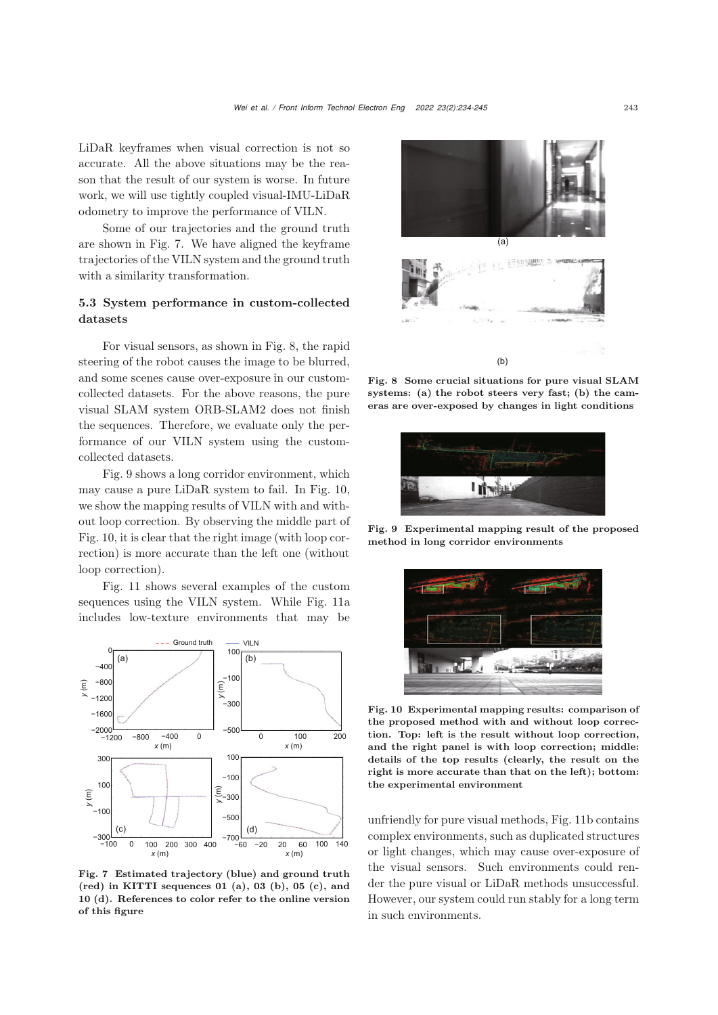LiDaR keyframes when visual correction is not so accurate. All the above situations may be the reason that the result of our system is worse. In future work, we will use tightly coupled visual-IMU-LiDaR odometry to improve the performance of VILN.

Some of our trajectories and the ground truth are shown in Fig. [7.](#page-9-0) We have aligned the keyframe trajectories of the VILN system and the ground truth with a similarity transformation.

# 5.3 System performance in custom-collected datasets

For visual sensors, as shown in Fig. [8,](#page-9-1) the rapid steering of the robot causes the image to be blurred, and some scenes cause over-exposure in our customcollected datasets. For the above reasons, the pure visual SLAM system ORB-SLAM2 does not finish the sequences. Therefore, we evaluate only the performance of our VILN system using the customcollected datasets.

Fig. [9](#page-9-2) shows a long corridor environment, which may cause a pure LiDaR system to fail. In Fig. [10,](#page-9-3) we show the mapping results of VILN with and without loop correction. By observing the middle part of Fig. [10,](#page-9-3) it is clear that the right image (with loop correction) is more accurate than the left one (without loop correction).

Fig. [11](#page-10-15) shows several examples of the custom sequences using the VILN system. While Fig. [11a](#page-10-15) includes low-texture environments that may be



<span id="page-9-0"></span>Fig. 7 Estimated trajectory (blue) and ground truth  $(\text{red})$  in KITTI sequences 01 $(a)$ , 03 $(b)$ , 05 $(c)$ , and 10 (d). References to color refer to the online version of this figure



<span id="page-9-1"></span>Fig. 8 Some crucial situations for pure visual SLAM systems: (a) the robot steers very fast; (b) the cameras are over-exposed by changes in light conditions



Fig. 9 Experimental mapping result of the proposed method in long corridor environments

<span id="page-9-2"></span>

Fig. 10 Experimental mapping results: comparison of the proposed method with and without loop correction. Top: left is the result without loop correction, and the right panel is with loop correction; middle: details of the top results (clearly, the result on the right is more accurate than that on the left); bottom: the experimental environment

<span id="page-9-3"></span>unfriendly for pure visual methods, Fig. [11b](#page-10-15) contains complex environments, such as duplicated structures or light changes, which may cause over-exposure of the visual sensors. Such environments could render the pure visual or LiDaR methods unsuccessful. However, our system could run stably for a long term in such environments.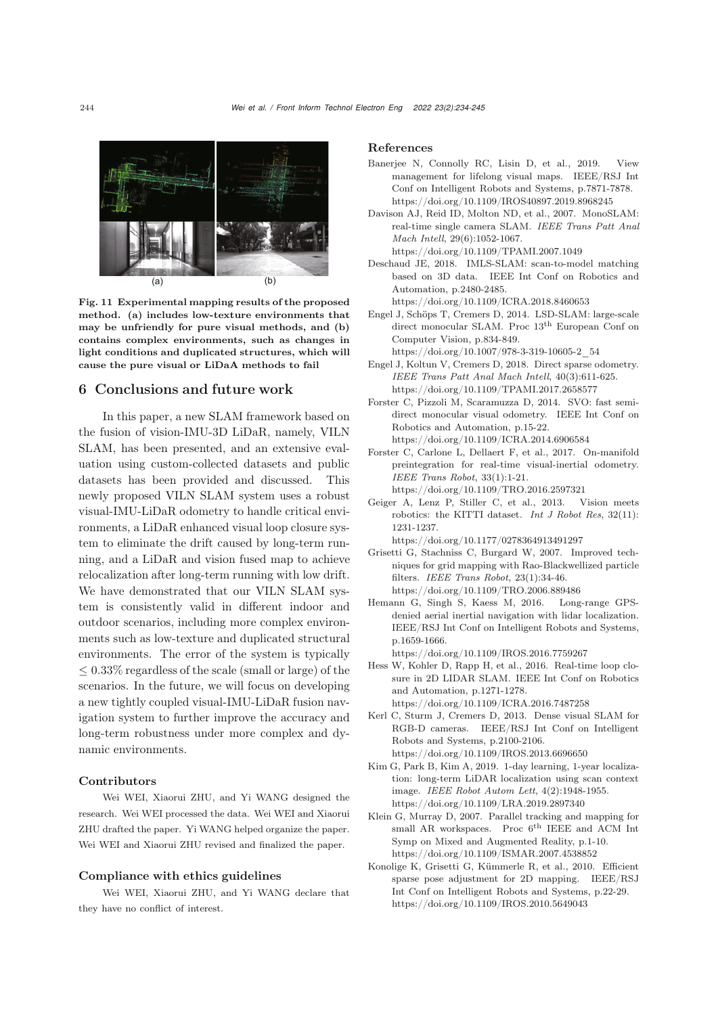

Fig. 11 Experimental mapping results of the proposed method. (a) includes low-texture environments that may be unfriendly for pure visual methods, and (b) contains complex environments, such as changes in light conditions and duplicated structures, which will cause the pure visual or LiDaA methods to fail

# <span id="page-10-15"></span>6 Conclusions and future work

In this paper, a new SLAM framework based on the fusion of vision-IMU-3D LiDaR, namely, VILN SLAM, has been presented, and an extensive evaluation using custom-collected datasets and public datasets has been provided and discussed. This newly proposed VILN SLAM system uses a robust visual-IMU-LiDaR odometry to handle critical environments, a LiDaR enhanced visual loop closure system to eliminate the drift caused by long-term running, and a LiDaR and vision fused map to achieve relocalization after long-term running with low drift. We have demonstrated that our VILN SLAM system is consistently valid in different indoor and outdoor scenarios, including more complex environments such as low-texture and duplicated structural environments. The error of the system is typically  $\leq 0.33\%$  regardless of the scale (small or large) of the scenarios. In the future, we will focus on developing a new tightly coupled visual-IMU-LiDaR fusion navigation system to further improve the accuracy and long-term robustness under more complex and dynamic environments.

#### Contributors

Wei WEI, Xiaorui ZHU, and Yi WANG designed the research. Wei WEI processed the data. Wei WEI and Xiaorui ZHU drafted the paper. Yi WANG helped organize the paper. Wei WEI and Xiaorui ZHU revised and finalized the paper.

## Compliance with ethics guidelines

Wei WEI, Xiaorui ZHU, and Yi WANG declare that they have no conflict of interest.

#### References

- <span id="page-10-10"></span>Banerjee N, Connolly RC, Lisin D, et al., 2019. View management for lifelong visual maps. IEEE/RSJ Int Conf on Intelligent Robots and Systems, p.7871-7878. https://doi.org/10.1109/IROS40897.2019.8968245
- <span id="page-10-0"></span>Davison AJ, Reid ID, Molton ND, et al., 2007. MonoSLAM: real-time single camera SLAM. *IEEE Trans Patt Anal Mach Intell*, 29(6):1052-1067. https://doi.org/10.1109/TPAMI.2007.1049
- <span id="page-10-8"></span>Deschaud JE, 2018. IMLS-SLAM: scan-to-model matching based on 3D data. IEEE Int Conf on Robotics and Automation, p.2480-2485.

https://doi.org/10.1109/ICRA.2018.8460653

<span id="page-10-2"></span>Engel J, Schöps T, Cremers D, 2014. LSD-SLAM: large-scale direct monocular SLAM. Proc $13^{\rm th}$  European Conf on Computer Vision, p.834-849. https://doi.org/10.1007/978-3-319-10605-2\_54

<span id="page-10-4"></span>Engel J, Koltun V, Cremers D, 2018. Direct sparse odometry.

- *IEEE Trans Patt Anal Mach Intell*, 40(3):611-625. https://doi.org/10.1109/TPAMI.2017.2658577
- <span id="page-10-3"></span>Forster C, Pizzoli M, Scaramuzza D, 2014. SVO: fast semidirect monocular visual odometry. IEEE Int Conf on Robotics and Automation, p.15-22. https://doi.org/10.1109/ICRA.2014.6906584
- <span id="page-10-12"></span>Forster C, Carlone L, Dellaert F, et al., 2017. On-manifold preintegration for real-time visual-inertial odometry. *IEEE Trans Robot*, 33(1):1-21. https://doi.org/10.1109/TRO.2016.2597321
- <span id="page-10-14"></span>Geiger A, Lenz P, Stiller C, et al., 2013. Vision meets robotics: the KITTI dataset. *Int J Robot Res*, 32(11): 1231-1237.
- <span id="page-10-6"></span>https://doi.org/10.1177/0278364913491297 Grisetti G, Stachniss C, Burgard W, 2007. Improved techniques for grid mapping with Rao-Blackwellized particle filters. *IEEE Trans Robot*, 23(1):34-46. https://doi.org/10.1109/TRO.2006.889486
- <span id="page-10-9"></span>Hemann G, Singh S, Kaess M, 2016. Long-range GPSdenied aerial inertial navigation with lidar localization. IEEE/RSJ Int Conf on Intelligent Robots and Systems, p.1659-1666.

https://doi.org/10.1109/IROS.2016.7759267

- <span id="page-10-13"></span>Hess W, Kohler D, Rapp H, et al., 2016. Real-time loop closure in 2D LIDAR SLAM. IEEE Int Conf on Robotics and Automation, p.1271-1278. https://doi.org/10.1109/ICRA.2016.7487258
- <span id="page-10-5"></span>Kerl C, Sturm J, Cremers D, 2013. Dense visual SLAM for RGB-D cameras. IEEE/RSJ Int Conf on Intelligent Robots and Systems, p.2100-2106. https://doi.org/10.1109/IROS.2013.6696650
- <span id="page-10-11"></span>Kim G, Park B, Kim A, 2019. 1-day learning, 1-year localization: long-term LiDAR localization using scan context image. *IEEE Robot Autom Lett*, 4(2):1948-1955. https://doi.org/10.1109/LRA.2019.2897340
- <span id="page-10-1"></span>Klein G, Murray D, 2007. Parallel tracking and mapping for small AR workspaces. Proc 6<sup>th</sup> IEEE and ACM Int Symp on Mixed and Augmented Reality, p.1-10. https://doi.org/10.1109/ISMAR.2007.4538852
- <span id="page-10-7"></span>Konolige K, Grisetti G, Kümmerle R, et al., 2010. Efficient sparse pose adjustment for 2D mapping. IEEE/RSJ Int Conf on Intelligent Robots and Systems, p.22-29. https://doi.org/10.1109/IROS.2010.5649043